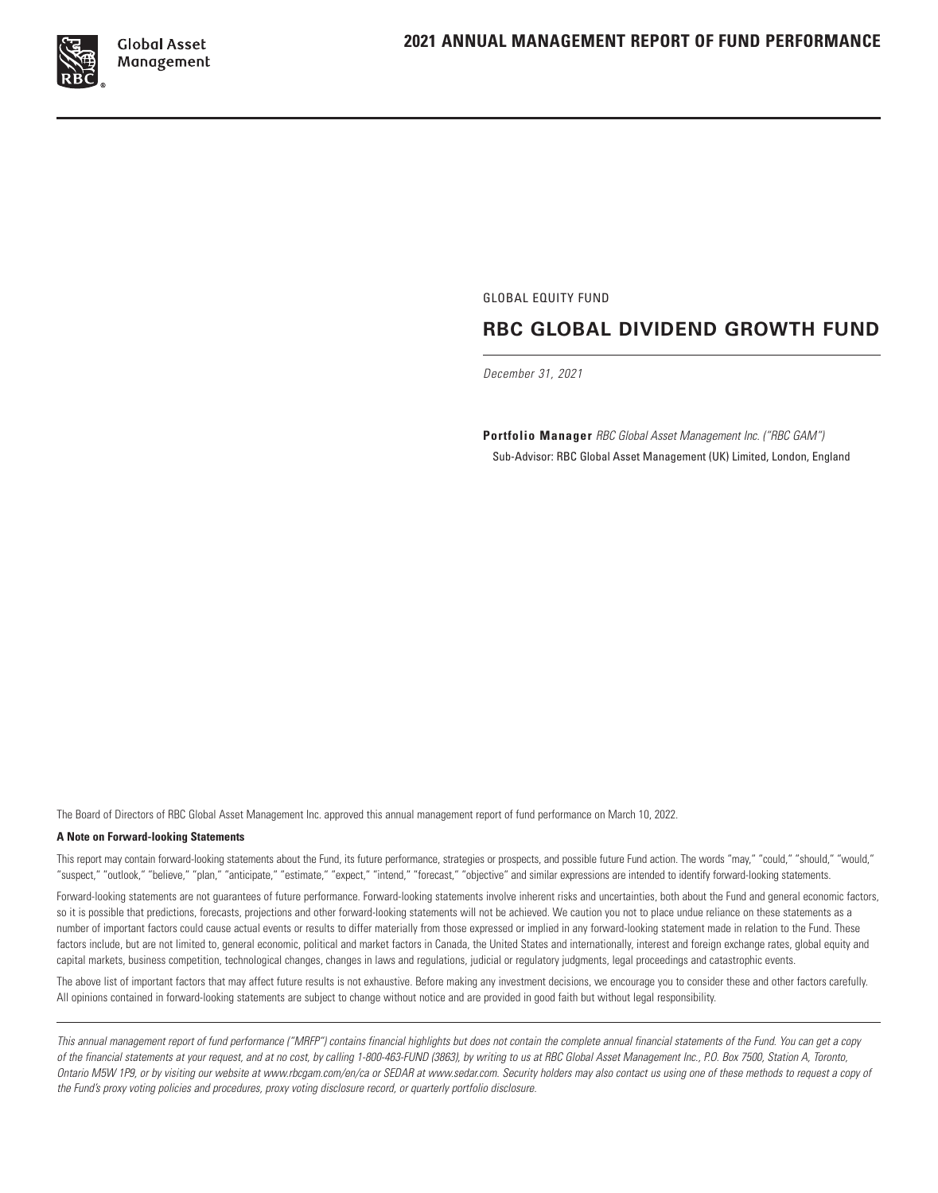

GLOBAL EQUITY FUND

# **RBC GLOBAL DIVIDEND GROWTH FUND**

*December 31, 2021*

**Portfolio Manager** *RBC Global Asset Management Inc. ("RBC GAM")* Sub‑Advisor: RBC Global Asset Management (UK) Limited, London, England

The Board of Directors of RBC Global Asset Management Inc. approved this annual management report of fund performance on March 10, 2022.

#### **A Note on Forward‑looking Statements**

This report may contain forward‑looking statements about the Fund, its future performance, strategies or prospects, and possible future Fund action. The words "may," "could," "should," "would," "suspect," "outlook," "believe," "plan," "anticipate," "estimate," "expect," "intend," "forecast," "objective" and similar expressions are intended to identify forward‑looking statements.

Forward-looking statements are not guarantees of future performance. Forward-looking statements involve inherent risks and uncertainties, both about the Fund and general economic factors, so it is possible that predictions, forecasts, projections and other forward-looking statements will not be achieved. We caution you not to place undue reliance on these statements as a number of important factors could cause actual events or results to differ materially from those expressed or implied in any forward‑looking statement made in relation to the Fund. These factors include, but are not limited to, general economic, political and market factors in Canada, the United States and internationally, interest and foreign exchange rates, global equity and capital markets, business competition, technological changes, changes in laws and regulations, judicial or regulatory judgments, legal proceedings and catastrophic events.

The above list of important factors that may affect future results is not exhaustive. Before making any investment decisions, we encourage you to consider these and other factors carefully. All opinions contained in forward‑looking statements are subject to change without notice and are provided in good faith but without legal responsibility.

*This annual management report of fund performance ("MRFP") contains financial highlights but does not contain the complete annual financial statements of the Fund. You can get a copy of the financial statements at your request, and at no cost, by calling 1‑800‑463‑FUND (3863), by writing to us at RBC Global Asset Management Inc., P.O. Box 7500, Station A, Toronto, Ontario M5W 1P9, or by visiting our website at www.rbcgam.com/en/ca or SEDAR at www.sedar.com. Security holders may also contact us using one of these methods to request a copy of the Fund's proxy voting policies and procedures, proxy voting disclosure record, or quarterly portfolio disclosure.*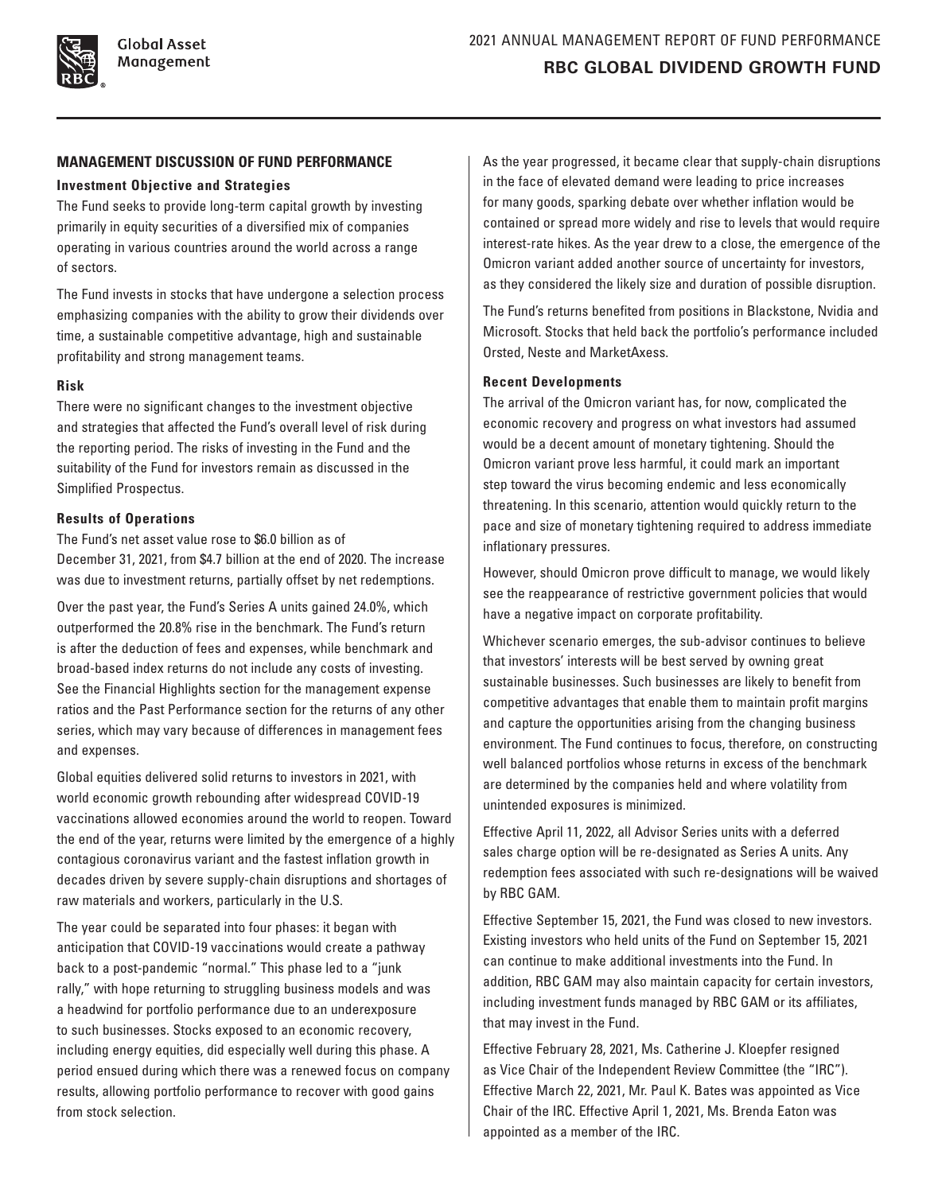

## **MANAGEMENT DISCUSSION OF FUND PERFORMANCE**

#### **Investment Objective and Strategies**

The Fund seeks to provide long-term capital growth by investing primarily in equity securities of a diversified mix of companies operating in various countries around the world across a range of sectors.

The Fund invests in stocks that have undergone a selection process emphasizing companies with the ability to grow their dividends over time, a sustainable competitive advantage, high and sustainable profitability and strong management teams.

#### **Risk**

There were no significant changes to the investment objective and strategies that affected the Fund's overall level of risk during the reporting period. The risks of investing in the Fund and the suitability of the Fund for investors remain as discussed in the Simplified Prospectus.

#### **Results of Operations**

The Fund's net asset value rose to \$6.0 billion as of December 31, 2021, from \$4.7 billion at the end of 2020. The increase was due to investment returns, partially offset by net redemptions.

Over the past year, the Fund's Series A units gained 24.0%, which outperformed the 20.8% rise in the benchmark. The Fund's return is after the deduction of fees and expenses, while benchmark and broad-based index returns do not include any costs of investing. See the Financial Highlights section for the management expense ratios and the Past Performance section for the returns of any other series, which may vary because of differences in management fees and expenses.

Global equities delivered solid returns to investors in 2021, with world economic growth rebounding after widespread COVID-19 vaccinations allowed economies around the world to reopen. Toward the end of the year, returns were limited by the emergence of a highly contagious coronavirus variant and the fastest inflation growth in decades driven by severe supply-chain disruptions and shortages of raw materials and workers, particularly in the U.S.

The year could be separated into four phases: it began with anticipation that COVID-19 vaccinations would create a pathway back to a post-pandemic "normal." This phase led to a "junk rally," with hope returning to struggling business models and was a headwind for portfolio performance due to an underexposure to such businesses. Stocks exposed to an economic recovery, including energy equities, did especially well during this phase. A period ensued during which there was a renewed focus on company results, allowing portfolio performance to recover with good gains from stock selection.

As the year progressed, it became clear that supply-chain disruptions in the face of elevated demand were leading to price increases for many goods, sparking debate over whether inflation would be contained or spread more widely and rise to levels that would require interest-rate hikes. As the year drew to a close, the emergence of the Omicron variant added another source of uncertainty for investors, as they considered the likely size and duration of possible disruption.

The Fund's returns benefited from positions in Blackstone, Nvidia and Microsoft. Stocks that held back the portfolio's performance included Orsted, Neste and MarketAxess.

#### **Recent Developments**

The arrival of the Omicron variant has, for now, complicated the economic recovery and progress on what investors had assumed would be a decent amount of monetary tightening. Should the Omicron variant prove less harmful, it could mark an important step toward the virus becoming endemic and less economically threatening. In this scenario, attention would quickly return to the pace and size of monetary tightening required to address immediate inflationary pressures.

However, should Omicron prove difficult to manage, we would likely see the reappearance of restrictive government policies that would have a negative impact on corporate profitability.

Whichever scenario emerges, the sub-advisor continues to believe that investors' interests will be best served by owning great sustainable businesses. Such businesses are likely to benefit from competitive advantages that enable them to maintain profit margins and capture the opportunities arising from the changing business environment. The Fund continues to focus, therefore, on constructing well balanced portfolios whose returns in excess of the benchmark are determined by the companies held and where volatility from unintended exposures is minimized.

Effective April 11, 2022, all Advisor Series units with a deferred sales charge option will be re-designated as Series A units. Any redemption fees associated with such re-designations will be waived by RBC GAM.

Effective September 15, 2021, the Fund was closed to new investors. Existing investors who held units of the Fund on September 15, 2021 can continue to make additional investments into the Fund. In addition, RBC GAM may also maintain capacity for certain investors, including investment funds managed by RBC GAM or its affiliates, that may invest in the Fund.

Effective February 28, 2021, Ms. Catherine J. Kloepfer resigned as Vice Chair of the Independent Review Committee (the "IRC"). Effective March 22, 2021, Mr. Paul K. Bates was appointed as Vice Chair of the IRC. Effective April 1, 2021, Ms. Brenda Eaton was appointed as a member of the IRC.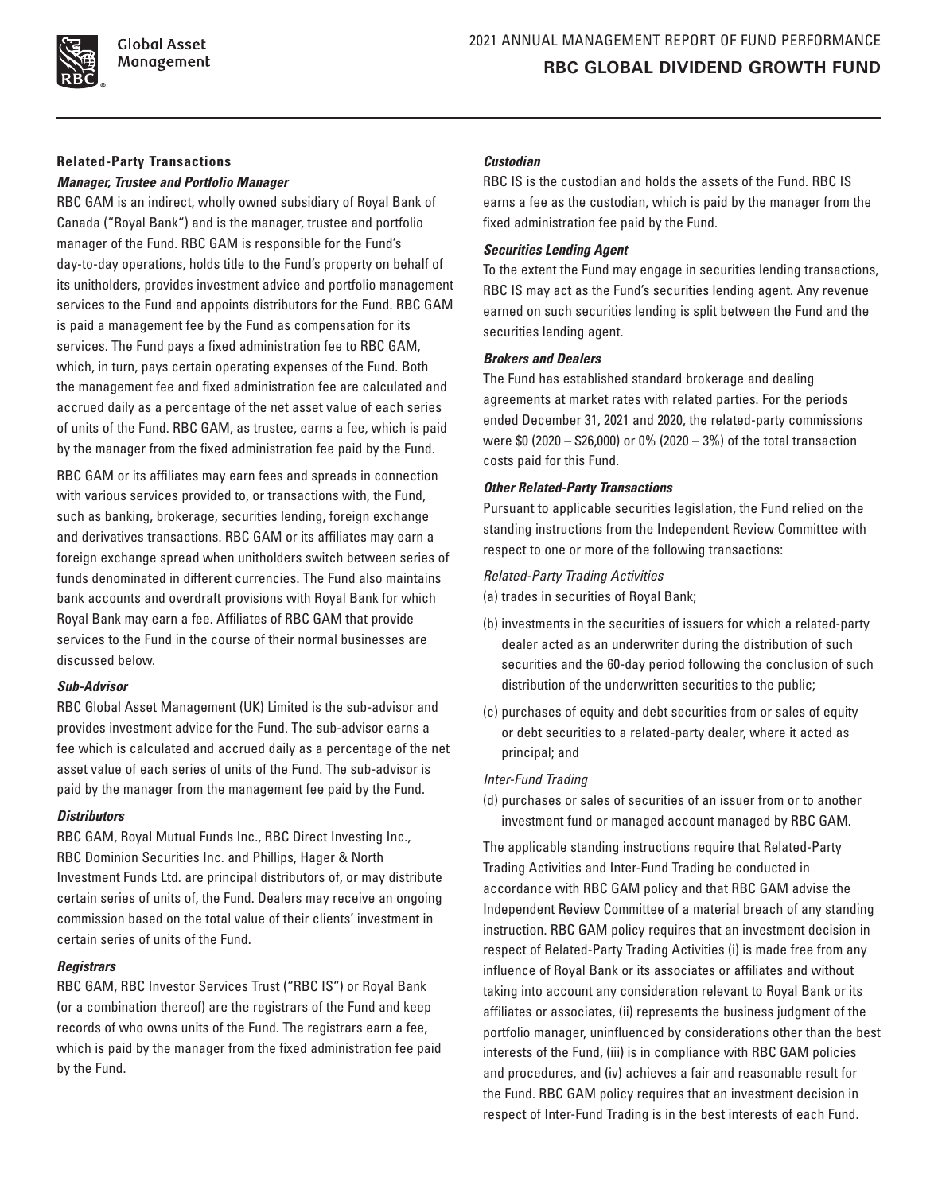

**Global Asset** Management

### **Related‑Party Transactions** *Manager, Trustee and Portfolio Manager*

RBC GAM is an indirect, wholly owned subsidiary of Royal Bank of Canada ("Royal Bank") and is the manager, trustee and portfolio manager of the Fund. RBC GAM is responsible for the Fund's day-to-day operations, holds title to the Fund's property on behalf of its unitholders, provides investment advice and portfolio management services to the Fund and appoints distributors for the Fund. RBC GAM is paid a management fee by the Fund as compensation for its services. The Fund pays a fixed administration fee to RBC GAM, which, in turn, pays certain operating expenses of the Fund. Both the management fee and fixed administration fee are calculated and accrued daily as a percentage of the net asset value of each series of units of the Fund. RBC GAM, as trustee, earns a fee, which is paid by the manager from the fixed administration fee paid by the Fund.

RBC GAM or its affiliates may earn fees and spreads in connection with various services provided to, or transactions with, the Fund, such as banking, brokerage, securities lending, foreign exchange and derivatives transactions. RBC GAM or its affiliates may earn a foreign exchange spread when unitholders switch between series of funds denominated in different currencies. The Fund also maintains bank accounts and overdraft provisions with Royal Bank for which Royal Bank may earn a fee. Affiliates of RBC GAM that provide services to the Fund in the course of their normal businesses are discussed below.

### *Sub‑Advisor*

RBC Global Asset Management (UK) Limited is the sub-advisor and provides investment advice for the Fund. The sub‑advisor earns a fee which is calculated and accrued daily as a percentage of the net asset value of each series of units of the Fund. The sub-advisor is paid by the manager from the management fee paid by the Fund.

## *Distributors*

RBC GAM, Royal Mutual Funds Inc., RBC Direct Investing Inc., RBC Dominion Securities Inc. and Phillips, Hager & North Investment Funds Ltd. are principal distributors of, or may distribute certain series of units of, the Fund. Dealers may receive an ongoing commission based on the total value of their clients' investment in certain series of units of the Fund.

## *Registrars*

RBC GAM, RBC Investor Services Trust ("RBC IS") or Royal Bank (or a combination thereof) are the registrars of the Fund and keep records of who owns units of the Fund. The registrars earn a fee, which is paid by the manager from the fixed administration fee paid by the Fund.

### *Custodian*

RBC IS is the custodian and holds the assets of the Fund. RBC IS earns a fee as the custodian, which is paid by the manager from the fixed administration fee paid by the Fund.

### *Securities Lending Agent*

To the extent the Fund may engage in securities lending transactions, RBC IS may act as the Fund's securities lending agent. Any revenue earned on such securities lending is split between the Fund and the securities lending agent.

### *Brokers and Dealers*

The Fund has established standard brokerage and dealing agreements at market rates with related parties. For the periods ended December 31, 2021 and 2020, the related-party commissions were \$0 (2020 – \$26,000) or 0% (2020 – 3%) of the total transaction costs paid for this Fund.

### *Other Related‑Party Transactions*

Pursuant to applicable securities legislation, the Fund relied on the standing instructions from the Independent Review Committee with respect to one or more of the following transactions:

### *Related‑Party Trading Activities*

(a) trades in securities of Royal Bank;

- (b) investments in the securities of issuers for which a related‑party dealer acted as an underwriter during the distribution of such securities and the 60‑day period following the conclusion of such distribution of the underwritten securities to the public;
- (c) purchases of equity and debt securities from or sales of equity or debt securities to a related‑party dealer, where it acted as principal; and

### *Inter‑Fund Trading*

(d) purchases or sales of securities of an issuer from or to another investment fund or managed account managed by RBC GAM.

The applicable standing instructions require that Related-Party Trading Activities and Inter‑Fund Trading be conducted in accordance with RBC GAM policy and that RBC GAM advise the Independent Review Committee of a material breach of any standing instruction. RBC GAM policy requires that an investment decision in respect of Related-Party Trading Activities (i) is made free from any influence of Royal Bank or its associates or affiliates and without taking into account any consideration relevant to Royal Bank or its affiliates or associates, (ii) represents the business judgment of the portfolio manager, uninfluenced by considerations other than the best interests of the Fund, (iii) is in compliance with RBC GAM policies and procedures, and (iv) achieves a fair and reasonable result for the Fund. RBC GAM policy requires that an investment decision in respect of Inter-Fund Trading is in the best interests of each Fund.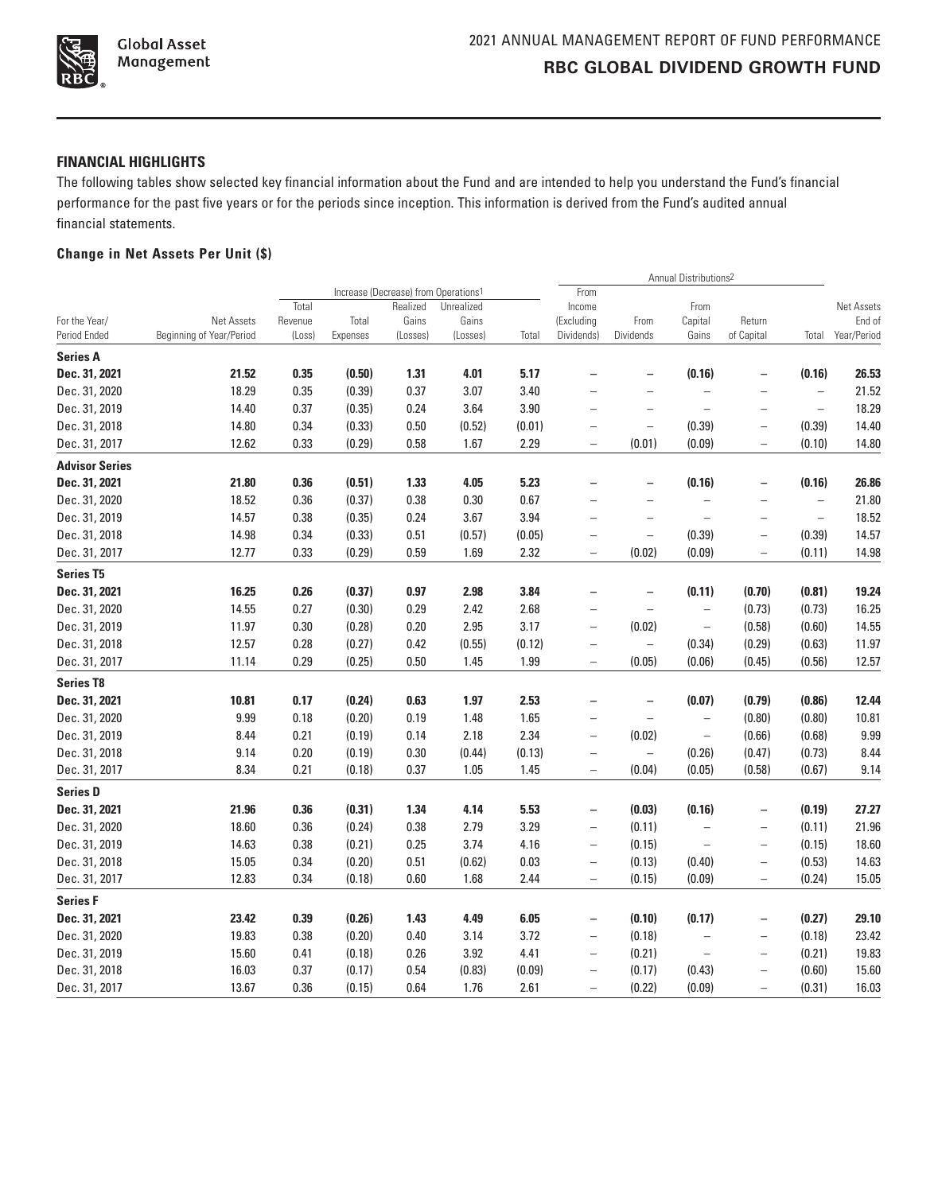

### **FINANCIAL HIGHLIGHTS**

The following tables show selected key financial information about the Fund and are intended to help you understand the Fund's financial performance for the past five years or for the periods since inception. This information is derived from the Fund's audited annual financial statements.

### **Change in Net Assets Per Unit (\$)**

|                                  |                                        |                   |                   |                   |                                                  |        |                          |                          | Annual Distributions <sup>2</sup> |                          |                             |                       |
|----------------------------------|----------------------------------------|-------------------|-------------------|-------------------|--------------------------------------------------|--------|--------------------------|--------------------------|-----------------------------------|--------------------------|-----------------------------|-----------------------|
|                                  |                                        |                   |                   |                   | Increase (Decrease) from Operations <sup>1</sup> |        | From                     |                          |                                   |                          |                             |                       |
|                                  |                                        | Total             |                   | Realized          | Unrealized                                       |        | Income                   |                          | From                              |                          |                             | Net Assets            |
| For the Year/<br>Period Ended    | Net Assets<br>Beginning of Year/Period | Revenue<br>(Loss) | Total<br>Expenses | Gains<br>(Losses) | Gains<br>(Losses)                                | Total  | (Excluding<br>Dividends) | From<br>Dividends        | Capital<br>Gains                  | Return<br>of Capital     | Total                       | End of<br>Year/Period |
|                                  |                                        |                   |                   |                   |                                                  |        |                          |                          |                                   |                          |                             |                       |
| <b>Series A</b><br>Dec. 31, 2021 | 21.52                                  | 0.35              |                   |                   |                                                  | 5.17   |                          |                          |                                   |                          |                             |                       |
| Dec. 31, 2020                    | 18.29                                  | 0.35              | (0.50)<br>(0.39)  | 1.31<br>0.37      | 4.01<br>3.07                                     | 3.40   |                          | $\overline{\phantom{0}}$ | (0.16)<br>$\qquad \qquad -$       | $\overline{\phantom{0}}$ | (0.16)<br>$\qquad \qquad -$ | 26.53<br>21.52        |
| Dec. 31, 2019                    | 14.40                                  | 0.37              | (0.35)            | 0.24              | 3.64                                             | 3.90   | $\overline{\phantom{0}}$ | $\overline{\phantom{0}}$ | $\overline{\phantom{0}}$          | $\overline{a}$           | $\qquad \qquad -$           | 18.29                 |
| Dec. 31, 2018                    | 14.80                                  | 0.34              | (0.33)            | 0.50              | (0.52)                                           | (0.01) |                          | $\overline{\phantom{0}}$ | (0.39)                            | $\overline{\phantom{0}}$ | (0.39)                      | 14.40                 |
| Dec. 31, 2017                    | 12.62                                  | 0.33              | (0.29)            | 0.58              | 1.67                                             | 2.29   | $\overline{\phantom{0}}$ | (0.01)                   | (0.09)                            | $\qquad \qquad -$        | (0.10)                      | 14.80                 |
| <b>Advisor Series</b>            |                                        |                   |                   |                   |                                                  |        |                          |                          |                                   |                          |                             |                       |
| Dec. 31, 2021                    | 21.80                                  | 0.36              | (0.51)            | 1.33              | 4.05                                             | 5.23   |                          |                          | (0.16)                            | -                        | (0.16)                      | 26.86                 |
| Dec. 31, 2020                    | 18.52                                  | 0.36              | (0.37)            | 0.38              | 0.30                                             | 0.67   |                          | $\overline{\phantom{0}}$ | $\overline{\phantom{0}}$          |                          | $\overline{\phantom{0}}$    | 21.80                 |
| Dec. 31, 2019                    | 14.57                                  | 0.38              | (0.35)            | 0.24              | 3.67                                             | 3.94   | $\overline{\phantom{0}}$ | $\overline{a}$           | $\overline{\phantom{0}}$          | $\overline{\phantom{0}}$ | $\qquad \qquad -$           | 18.52                 |
| Dec. 31, 2018                    | 14.98                                  | 0.34              | (0.33)            | 0.51              | (0.57)                                           | (0.05) | $\overline{a}$           | $\qquad \qquad -$        | (0.39)                            | $\overline{\phantom{0}}$ | (0.39)                      | 14.57                 |
| Dec. 31, 2017                    | 12.77                                  | 0.33              | (0.29)            | 0.59              | 1.69                                             | 2.32   | $\overline{\phantom{0}}$ | (0.02)                   | (0.09)                            | $\overline{\phantom{0}}$ | (0.11)                      | 14.98                 |
| <b>Series T5</b>                 |                                        |                   |                   |                   |                                                  |        |                          |                          |                                   |                          |                             |                       |
| Dec. 31, 2021                    | 16.25                                  | 0.26              | (0.37)            | 0.97              | 2.98                                             | 3.84   |                          |                          | (0.11)                            | (0.70)                   | (0.81)                      | 19.24                 |
| Dec. 31, 2020                    | 14.55                                  | 0.27              | (0.30)            | 0.29              | 2.42                                             | 2.68   |                          | $\overline{\phantom{a}}$ | $\qquad \qquad -$                 | (0.73)                   | (0.73)                      | 16.25                 |
| Dec. 31, 2019                    | 11.97                                  | 0.30              | (0.28)            | 0.20              | 2.95                                             | 3.17   | $\overline{a}$           | (0.02)                   | $\overline{\phantom{0}}$          | (0.58)                   | (0.60)                      | 14.55                 |
| Dec. 31, 2018                    | 12.57                                  | 0.28              | (0.27)            | 0.42              | (0.55)                                           | (0.12) | $\overline{\phantom{0}}$ | $\qquad \qquad -$        | (0.34)                            | (0.29)                   | (0.63)                      | 11.97                 |
| Dec. 31, 2017                    | 11.14                                  | 0.29              | (0.25)            | 0.50              | 1.45                                             | 1.99   | $\overline{\phantom{0}}$ | (0.05)                   | (0.06)                            | (0.45)                   | (0.56)                      | 12.57                 |
| <b>Series T8</b>                 |                                        |                   |                   |                   |                                                  |        |                          |                          |                                   |                          |                             |                       |
| Dec. 31, 2021                    | 10.81                                  | 0.17              | (0.24)            | 0.63              | 1.97                                             | 2.53   | $\overline{\phantom{0}}$ | $\qquad \qquad -$        | (0.07)                            | (0.79)                   | (0.86)                      | 12.44                 |
| Dec. 31, 2020                    | 9.99                                   | 0.18              | (0.20)            | 0.19              | 1.48                                             | 1.65   |                          | $\overline{\phantom{0}}$ | $\qquad \qquad -$                 | (0.80)                   | (0.80)                      | 10.81                 |
| Dec. 31, 2019                    | 8.44                                   | 0.21              | (0.19)            | 0.14              | 2.18                                             | 2.34   | $\overline{\phantom{0}}$ | (0.02)                   | $\qquad \qquad -$                 | (0.66)                   | (0.68)                      | 9.99                  |
| Dec. 31, 2018                    | 9.14                                   | 0.20              | (0.19)            | 0.30              | (0.44)                                           | (0.13) | $\overline{\phantom{0}}$ | $\qquad \qquad -$        | (0.26)                            | (0.47)                   | (0.73)                      | 8.44                  |
| Dec. 31, 2017                    | 8.34                                   | 0.21              | (0.18)            | 0.37              | 1.05                                             | 1.45   | $\qquad \qquad -$        | (0.04)                   | (0.05)                            | (0.58)                   | (0.67)                      | 9.14                  |
| <b>Series D</b>                  |                                        |                   |                   |                   |                                                  |        |                          |                          |                                   |                          |                             |                       |
| Dec. 31, 2021                    | 21.96                                  | 0.36              | (0.31)            | 1.34              | 4.14                                             | 5.53   | $\qquad \qquad -$        | (0.03)                   | (0.16)                            | $\qquad \qquad -$        | (0.19)                      | 27.27                 |
| Dec. 31, 2020                    | 18.60                                  | 0.36              | (0.24)            | 0.38              | 2.79                                             | 3.29   | $\overline{a}$           | (0.11)                   | $\overline{\phantom{0}}$          | $\qquad \qquad -$        | (0.11)                      | 21.96                 |
| Dec. 31, 2019                    | 14.63                                  | 0.38              | (0.21)            | 0.25              | 3.74                                             | 4.16   | $\overline{\phantom{0}}$ | (0.15)                   | $\overline{\phantom{0}}$          | $\overline{\phantom{0}}$ | (0.15)                      | 18.60                 |
| Dec. 31, 2018                    | 15.05                                  | 0.34              | (0.20)            | 0.51              | (0.62)                                           | 0.03   | $\qquad \qquad -$        | (0.13)                   | (0.40)                            | $\overline{\phantom{0}}$ | (0.53)                      | 14.63                 |
| Dec. 31, 2017                    | 12.83                                  | 0.34              | (0.18)            | 0.60              | 1.68                                             | 2.44   | $\qquad \qquad -$        | (0.15)                   | (0.09)                            | $\qquad \qquad -$        | (0.24)                      | 15.05                 |
| <b>Series F</b>                  |                                        |                   |                   |                   |                                                  |        |                          |                          |                                   |                          |                             |                       |
| Dec. 31, 2021                    | 23.42                                  | 0.39              | (0.26)            | 1.43              | 4.49                                             | 6.05   | $\overline{\phantom{0}}$ | (0.10)                   | (0.17)                            | $\overline{\phantom{0}}$ | (0.27)                      | 29.10                 |
| Dec. 31, 2020                    | 19.83                                  | 0.38              | (0.20)            | 0.40              | 3.14                                             | 3.72   | $\qquad \qquad -$        | (0.18)                   | $\qquad \qquad -$                 | $\qquad \qquad -$        | (0.18)                      | 23.42                 |
| Dec. 31, 2019                    | 15.60                                  | 0.41              | (0.18)            | 0.26              | 3.92                                             | 4.41   | $\qquad \qquad -$        | (0.21)                   | $\overline{\phantom{0}}$          | $\overline{\phantom{0}}$ | (0.21)                      | 19.83                 |
| Dec. 31, 2018                    | 16.03                                  | 0.37              | (0.17)            | 0.54              | (0.83)                                           | (0.09) | $\overline{\phantom{0}}$ | (0.17)                   | (0.43)                            | $\overline{\phantom{0}}$ | (0.60)                      | 15.60                 |
| Dec. 31, 2017                    | 13.67                                  | 0.36              | (0.15)            | 0.64              | 1.76                                             | 2.61   | $\overline{\phantom{0}}$ | (0.22)                   | (0.09)                            | $\overline{\phantom{0}}$ | (0.31)                      | 16.03                 |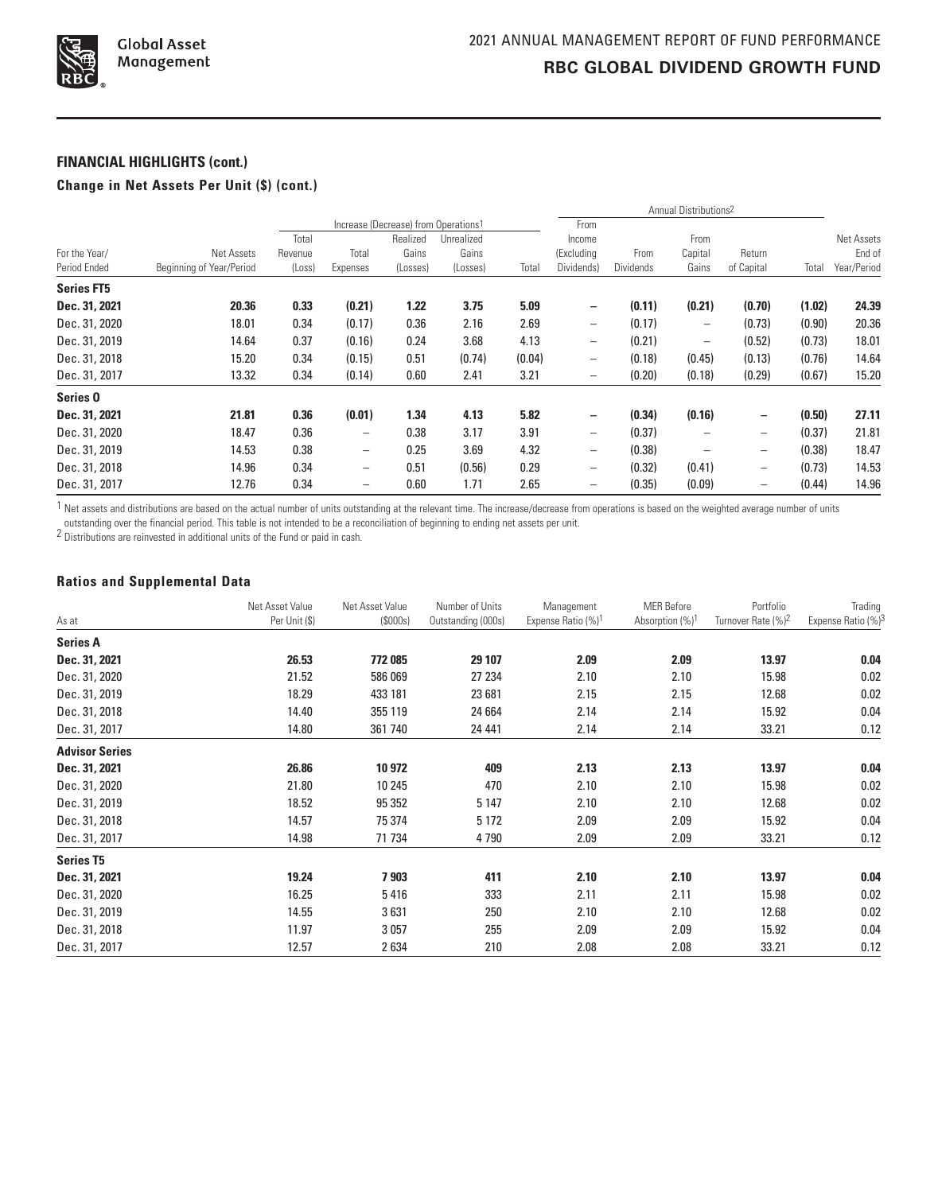

#### **FINANCIAL HIGHLIGHTS (cont.)**

### **Change in Net Assets Per Unit (\$) (cont.)**

|                     |                          |         |                          |                                                  |            |        | Annual Distributions <sup>2</sup> |                  |                          |                          |        |             |
|---------------------|--------------------------|---------|--------------------------|--------------------------------------------------|------------|--------|-----------------------------------|------------------|--------------------------|--------------------------|--------|-------------|
|                     |                          |         |                          | Increase (Decrease) from Operations <sup>1</sup> |            |        | From                              |                  |                          |                          |        |             |
|                     |                          | Total   |                          | Realized                                         | Unrealized |        | Income                            |                  | From                     |                          |        | Net Assets  |
| For the Year/       | Net Assets               | Revenue | Total                    | Gains                                            | Gains      |        | (Excluding                        | From             | Capital                  | Return                   |        | End of      |
| Period Ended        | Beginning of Year/Period | (Loss)  | Expenses                 | (Losses)                                         | (Losses)   | Total  | Dividends)                        | <b>Dividends</b> | Gains                    | of Capital               | Total  | Year/Period |
| <b>Series FT5</b>   |                          |         |                          |                                                  |            |        |                                   |                  |                          |                          |        |             |
| Dec. 31, 2021       | 20.36                    | 0.33    | (0.21)                   | 1.22                                             | 3.75       | 5.09   | -                                 | (0.11)           | (0.21)                   | (0.70)                   | (1.02) | 24.39       |
| Dec. 31, 2020       | 18.01                    | 0.34    | (0.17)                   | 0.36                                             | 2.16       | 2.69   | $\overline{\phantom{0}}$          | (0.17)           | $\overline{\phantom{0}}$ | (0.73)                   | (0.90) | 20.36       |
| Dec. 31, 2019       | 14.64                    | 0.37    | (0.16)                   | 0.24                                             | 3.68       | 4.13   | $\qquad \qquad -$                 | (0.21)           | $\overline{\phantom{0}}$ | (0.52)                   | (0.73) | 18.01       |
| Dec. 31, 2018       | 15.20                    | 0.34    | (0.15)                   | 0.51                                             | (0.74)     | (0.04) | $\qquad \qquad -$                 | (0.18)           | (0.45)                   | (0.13)                   | (0.76) | 14.64       |
| Dec. 31, 2017       | 13.32                    | 0.34    | (0.14)                   | 0.60                                             | 2.41       | 3.21   | $\qquad \qquad -$                 | (0.20)           | (0.18)                   | (0.29)                   | (0.67) | 15.20       |
| Series <sub>0</sub> |                          |         |                          |                                                  |            |        |                                   |                  |                          |                          |        |             |
| Dec. 31, 2021       | 21.81                    | 0.36    | (0.01)                   | 1.34                                             | 4.13       | 5.82   | -                                 | (0.34)           | (0.16)                   | -                        | (0.50) | 27.11       |
| Dec. 31, 2020       | 18.47                    | 0.36    | $\overline{\phantom{0}}$ | 0.38                                             | 3.17       | 3.91   | $\qquad \qquad -$                 | (0.37)           |                          | $\overline{\phantom{0}}$ | (0.37) | 21.81       |
| Dec. 31, 2019       | 14.53                    | 0.38    | $\overline{\phantom{0}}$ | 0.25                                             | 3.69       | 4.32   | $\qquad \qquad -$                 | (0.38)           |                          | -                        | (0.38) | 18.47       |
| Dec. 31, 2018       | 14.96                    | 0.34    | $\overline{\phantom{0}}$ | 0.51                                             | (0.56)     | 0.29   | $\qquad \qquad -$                 | (0.32)           | (0.41)                   | -                        | (0.73) | 14.53       |
| Dec. 31, 2017       | 12.76                    | 0.34    |                          | 0.60                                             | 1.71       | 2.65   | -                                 | (0.35)           | (0.09)                   | -                        | (0.44) | 14.96       |

 $1$  Net assets and distributions are based on the actual number of units outstanding at the relevant time. The increase/decrease from operations is based on the weighted average number of units

outstanding over the financial period. This table is not intended to be a reconciliation of beginning to ending net assets per unit.<br><sup>2</sup> Distributions are reinvested in additional units of the Fund or paid in cash.

#### **Ratios and Supplemental Data**

| As at                 | Net Asset Value<br>Per Unit (\$) | Net Asset Value<br>(\$000s) | Number of Units<br>Outstanding (000s) | Management<br>Expense Ratio (%) <sup>1</sup> | <b>MER Before</b><br>Absorption $(\%)$ <sup>1</sup> | Portfolio<br>Turnover Rate (%) <sup>2</sup> | Trading<br>Expense Ratio (%) <sup>3</sup> |
|-----------------------|----------------------------------|-----------------------------|---------------------------------------|----------------------------------------------|-----------------------------------------------------|---------------------------------------------|-------------------------------------------|
| <b>Series A</b>       |                                  |                             |                                       |                                              |                                                     |                                             |                                           |
| Dec. 31, 2021         | 26.53                            | 772085                      | 29 107                                | 2.09                                         | 2.09                                                | 13.97                                       | 0.04                                      |
| Dec. 31, 2020         | 21.52                            | 586 069                     | 27 234                                | 2.10                                         | 2.10                                                | 15.98                                       | 0.02                                      |
| Dec. 31, 2019         | 18.29                            | 433 181                     | 23 681                                | 2.15                                         | 2.15                                                | 12.68                                       | 0.02                                      |
| Dec. 31, 2018         | 14.40                            | 355 119                     | 24 6 64                               | 2.14                                         | 2.14                                                | 15.92                                       | 0.04                                      |
| Dec. 31, 2017         | 14.80                            | 361 740                     | 24 441                                | 2.14                                         | 2.14                                                | 33.21                                       | 0.12                                      |
| <b>Advisor Series</b> |                                  |                             |                                       |                                              |                                                     |                                             |                                           |
| Dec. 31, 2021         | 26.86                            | 10972                       | 409                                   | 2.13                                         | 2.13                                                | 13.97                                       | 0.04                                      |
| Dec. 31, 2020         | 21.80                            | 10 245                      | 470                                   | 2.10                                         | 2.10                                                | 15.98                                       | 0.02                                      |
| Dec. 31, 2019         | 18.52                            | 95 352                      | 5 1 4 7                               | 2.10                                         | 2.10                                                | 12.68                                       | 0.02                                      |
| Dec. 31, 2018         | 14.57                            | 75 374                      | 5 1 7 2                               | 2.09                                         | 2.09                                                | 15.92                                       | 0.04                                      |
| Dec. 31, 2017         | 14.98                            | 71 734                      | 4 7 9 0                               | 2.09                                         | 2.09                                                | 33.21                                       | 0.12                                      |
| <b>Series T5</b>      |                                  |                             |                                       |                                              |                                                     |                                             |                                           |
| Dec. 31, 2021         | 19.24                            | 7903                        | 411                                   | 2.10                                         | 2.10                                                | 13.97                                       | 0.04                                      |
| Dec. 31, 2020         | 16.25                            | 5416                        | 333                                   | 2.11                                         | 2.11                                                | 15.98                                       | 0.02                                      |
| Dec. 31, 2019         | 14.55                            | 3631                        | 250                                   | 2.10                                         | 2.10                                                | 12.68                                       | 0.02                                      |
| Dec. 31, 2018         | 11.97                            | 3057                        | 255                                   | 2.09                                         | 2.09                                                | 15.92                                       | 0.04                                      |
| Dec. 31, 2017         | 12.57                            | 2634                        | 210                                   | 2.08                                         | 2.08                                                | 33.21                                       | 0.12                                      |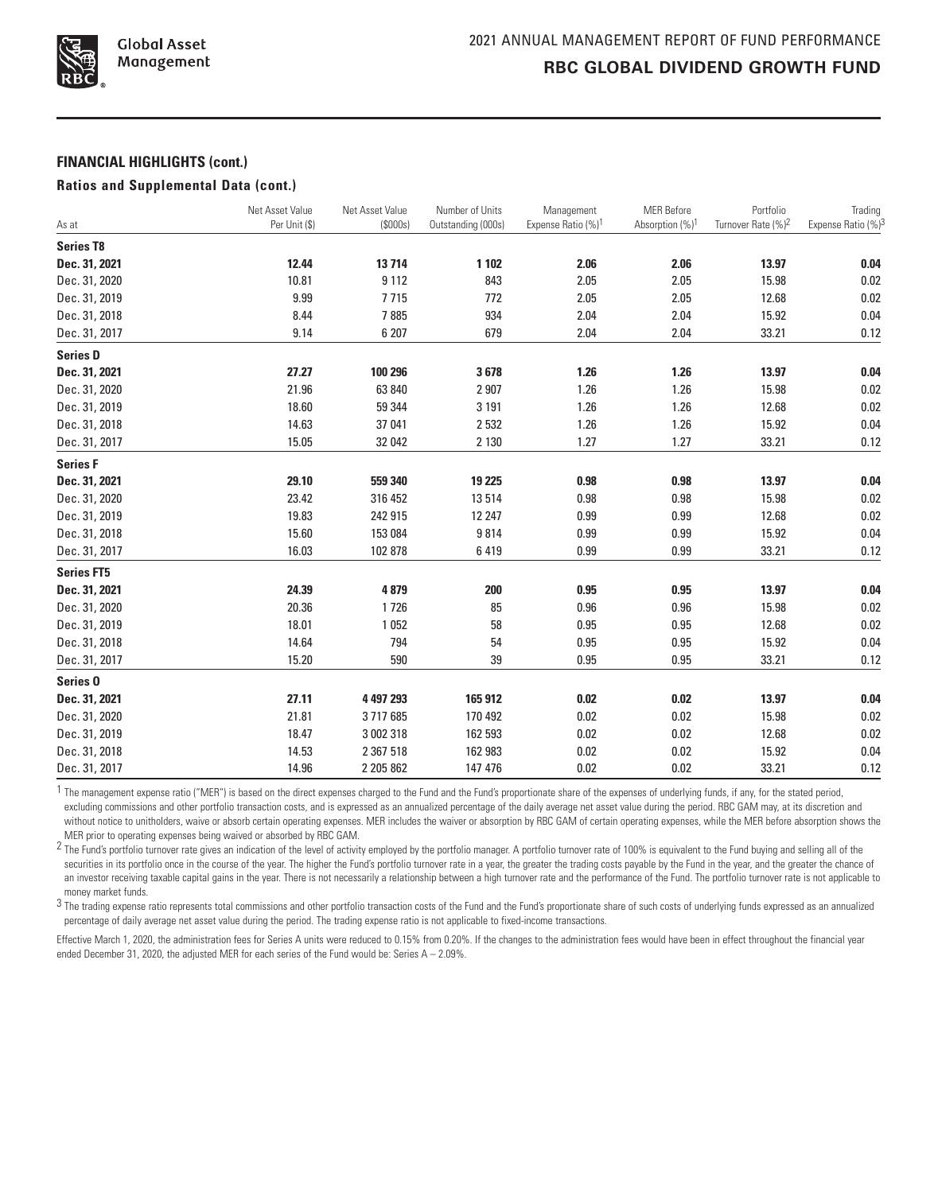

#### **FINANCIAL HIGHLIGHTS (cont.)**

#### **Ratios and Supplemental Data (cont.)**

|                     | Net Asset Value | Net Asset Value | Number of Units    | Management                     | <b>MER Before</b>           | Portfolio                      | Trading            |
|---------------------|-----------------|-----------------|--------------------|--------------------------------|-----------------------------|--------------------------------|--------------------|
| As at               | Per Unit (\$)   | (S000s)         | Outstanding (000s) | Expense Ratio (%) <sup>1</sup> | Absorption (%) <sup>1</sup> | Turnover Rate (%) <sup>2</sup> | Expense Ratio (%)3 |
| <b>Series T8</b>    |                 |                 |                    |                                |                             |                                |                    |
| Dec. 31, 2021       | 12.44           | 13714           | 1 1 0 2            | 2.06                           | 2.06                        | 13.97                          | 0.04               |
| Dec. 31, 2020       | 10.81           | 9112            | 843                | 2.05                           | 2.05                        | 15.98                          | 0.02               |
| Dec. 31, 2019       | 9.99            | 7715            | 772                | 2.05                           | 2.05                        | 12.68                          | 0.02               |
| Dec. 31, 2018       | 8.44            | 7885            | 934                | 2.04                           | 2.04                        | 15.92                          | 0.04               |
| Dec. 31, 2017       | 9.14            | 6 207           | 679                | 2.04                           | 2.04                        | 33.21                          | 0.12               |
| <b>Series D</b>     |                 |                 |                    |                                |                             |                                |                    |
| Dec. 31, 2021       | 27.27           | 100 296         | 3678               | 1.26                           | 1.26                        | 13.97                          | 0.04               |
| Dec. 31, 2020       | 21.96           | 63 840          | 2 9 0 7            | 1.26                           | 1.26                        | 15.98                          | 0.02               |
| Dec. 31, 2019       | 18.60           | 59 344          | 3 1 9 1            | 1.26                           | 1.26                        | 12.68                          | 0.02               |
| Dec. 31, 2018       | 14.63           | 37 041          | 2 5 3 2            | 1.26                           | 1.26                        | 15.92                          | 0.04               |
| Dec. 31, 2017       | 15.05           | 32 042          | 2 1 3 0            | 1.27                           | 1.27                        | 33.21                          | 0.12               |
| <b>Series F</b>     |                 |                 |                    |                                |                             |                                |                    |
| Dec. 31, 2021       | 29.10           | 559 340         | 19 225             | 0.98                           | 0.98                        | 13.97                          | 0.04               |
| Dec. 31, 2020       | 23.42           | 316 452         | 13514              | 0.98                           | 0.98                        | 15.98                          | 0.02               |
| Dec. 31, 2019       | 19.83           | 242 915         | 12 247             | 0.99                           | 0.99                        | 12.68                          | 0.02               |
| Dec. 31, 2018       | 15.60           | 153 084         | 9814               | 0.99                           | 0.99                        | 15.92                          | 0.04               |
| Dec. 31, 2017       | 16.03           | 102 878         | 6419               | 0.99                           | 0.99                        | 33.21                          | 0.12               |
| <b>Series FT5</b>   |                 |                 |                    |                                |                             |                                |                    |
| Dec. 31, 2021       | 24.39           | 4879            | 200                | 0.95                           | 0.95                        | 13.97                          | 0.04               |
| Dec. 31, 2020       | 20.36           | 1726            | 85                 | 0.96                           | 0.96                        | 15.98                          | 0.02               |
| Dec. 31, 2019       | 18.01           | 1052            | 58                 | 0.95                           | 0.95                        | 12.68                          | 0.02               |
| Dec. 31, 2018       | 14.64           | 794             | 54                 | 0.95                           | 0.95                        | 15.92                          | 0.04               |
| Dec. 31, 2017       | 15.20           | 590             | 39                 | 0.95                           | 0.95                        | 33.21                          | 0.12               |
| Series <sub>0</sub> |                 |                 |                    |                                |                             |                                |                    |
| Dec. 31, 2021       | 27.11           | 4 497 293       | 165 912            | 0.02                           | 0.02                        | 13.97                          | 0.04               |
| Dec. 31, 2020       | 21.81           | 3717685         | 170 492            | 0.02                           | 0.02                        | 15.98                          | 0.02               |
| Dec. 31, 2019       | 18.47           | 3 002 318       | 162 593            | 0.02                           | 0.02                        | 12.68                          | 0.02               |
| Dec. 31, 2018       | 14.53           | 2 367 518       | 162 983            | 0.02                           | 0.02                        | 15.92                          | 0.04               |
| Dec. 31, 2017       | 14.96           | 2 205 862       | 147 476            | 0.02                           | 0.02                        | 33.21                          | 0.12               |

<sup>1</sup> The management expense ratio ("MER") is based on the direct expenses charged to the Fund and the Fund's proportionate share of the expenses of underlying funds, if any, for the stated period, excluding commissions and other portfolio transaction costs, and is expressed as an annualized percentage of the daily average net asset value during the period. RBC GAM may, at its discretion and without notice to unitholders, waive or absorb certain operating expenses. MER includes the waiver or absorption by RBC GAM of certain operating expenses, while the MER before absorption shows the MER prior to operating expenses being waived or absorbed by RBC GAM.

The Fund's portfolio turnover rate gives an indication of the level of activity employed by the portfolio manager. A portfolio turnover rate of 100% is equivalent to the Fund buying and selling all of the securities in its portfolio once in the course of the year. The higher the Fund's portfolio turnover rate in a year, the greater the trading costs payable by the Fund in the year, and the greater the chance of an investor receiving taxable capital gains in the year. There is not necessarily a relationship between a high turnover rate and the performance of the Fund. The portfolio turnover rate is not applicable to money market funds.

3 The trading expense ratio represents total commissions and other portfolio transaction costs of the Fund and the Fund's proportionate share of such costs of underlying funds expressed as an annualized percentage of daily average net asset value during the period. The trading expense ratio is not applicable to fixed-income transactions.

Effective March 1, 2020, the administration fees for Series A units were reduced to 0.15% from 0.20%. If the changes to the administration fees would have been in effect throughout the financial year ended December 31, 2020, the adjusted MER for each series of the Fund would be: Series A – 2.09%.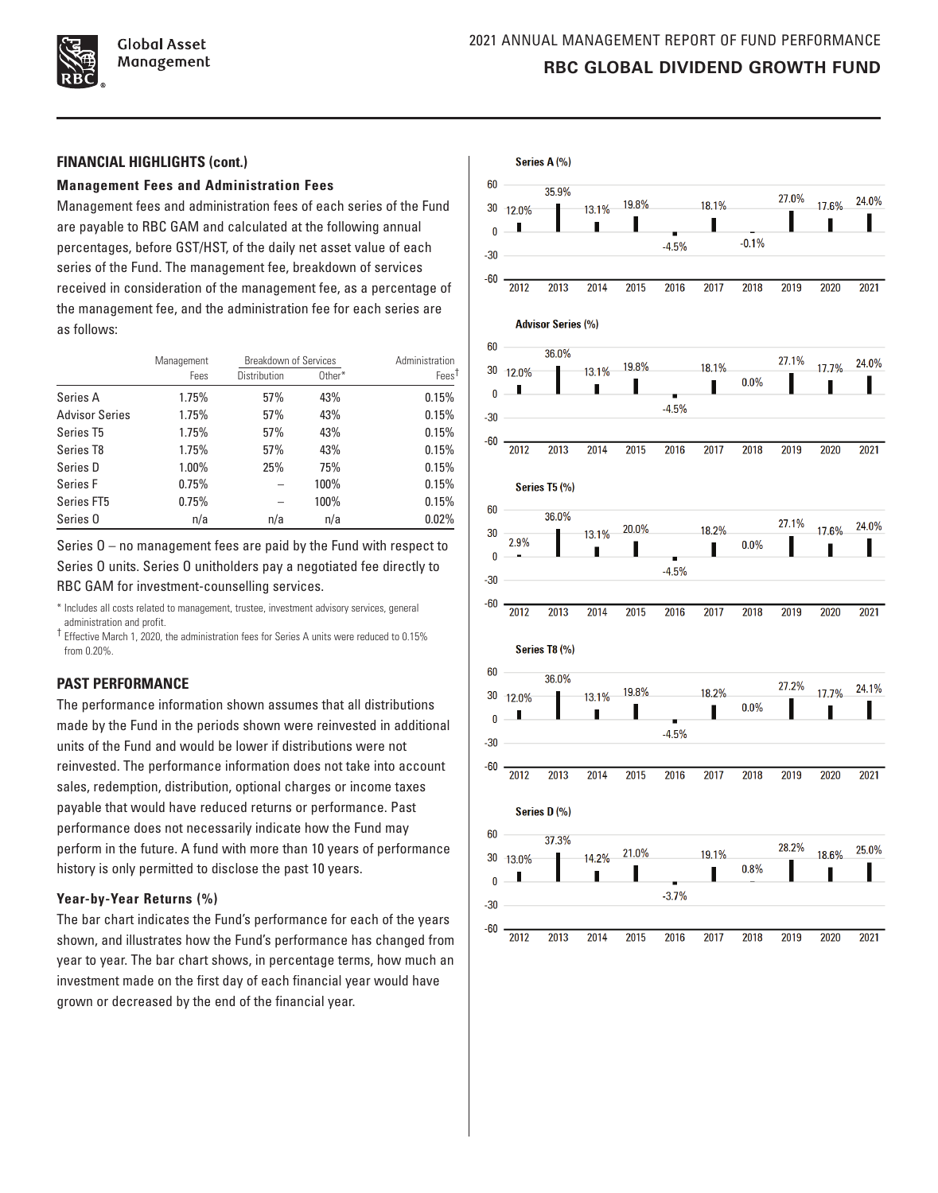

**Global Asset** Management

#### **FINANCIAL HIGHLIGHTS (cont.)**

#### **Management Fees and Administration Fees**

Management fees and administration fees of each series of the Fund are payable to RBC GAM and calculated at the following annual percentages, before GST/HST, of the daily net asset value of each series of the Fund. The management fee, breakdown of services received in consideration of the management fee, as a percentage of the management fee, and the administration fee for each series are as follows:

|                       | Management | <b>Breakdown of Services</b> |        | Administration    |
|-----------------------|------------|------------------------------|--------|-------------------|
|                       | Fees       | Distribution                 | Other* | Fees <sup>†</sup> |
| Series A              | 1.75%      | 57%                          | 43%    | 0.15%             |
| <b>Advisor Series</b> | 1.75%      | 57%                          | 43%    | 0.15%             |
| Series T5             | 1.75%      | 57%                          | 43%    | 0.15%             |
| Series T8             | 1.75%      | 57%                          | 43%    | 0.15%             |
| Series D              | 1.00%      | 25%                          | 75%    | 0.15%             |
| Series F              | 0.75%      |                              | 100%   | 0.15%             |
| Series FT5            | 0.75%      |                              | 100%   | 0.15%             |
| Series <sub>0</sub>   | n/a        | n/a                          | n/a    | 0.02%             |

Series O – no management fees are paid by the Fund with respect to Series O units. Series O unitholders pay a negotiated fee directly to

RBC GAM for investment-counselling services.

\* Includes all costs related to management, trustee, investment advisory services, general administration and profit.

† Effective March 1, 2020, the administration fees for Series A units were reduced to 0.15% from 0.20%

### **PAST PERFORMANCE**

The performance information shown assumes that all distributions made by the Fund in the periods shown were reinvested in additional units of the Fund and would be lower if distributions were not reinvested. The performance information does not take into account sales, redemption, distribution, optional charges or income taxes payable that would have reduced returns or performance. Past performance does not necessarily indicate how the Fund may perform in the future. A fund with more than 10 years of performance history is only permitted to disclose the past 10 years.

#### **Year‑by‑Year Returns (%)**

The bar chart indicates the Fund's performance for each of the years shown, and illustrates how the Fund's performance has changed from year to year. The bar chart shows, in percentage terms, how much an investment made on the first day of each financial year would have grown or decreased by the end of the financial year.

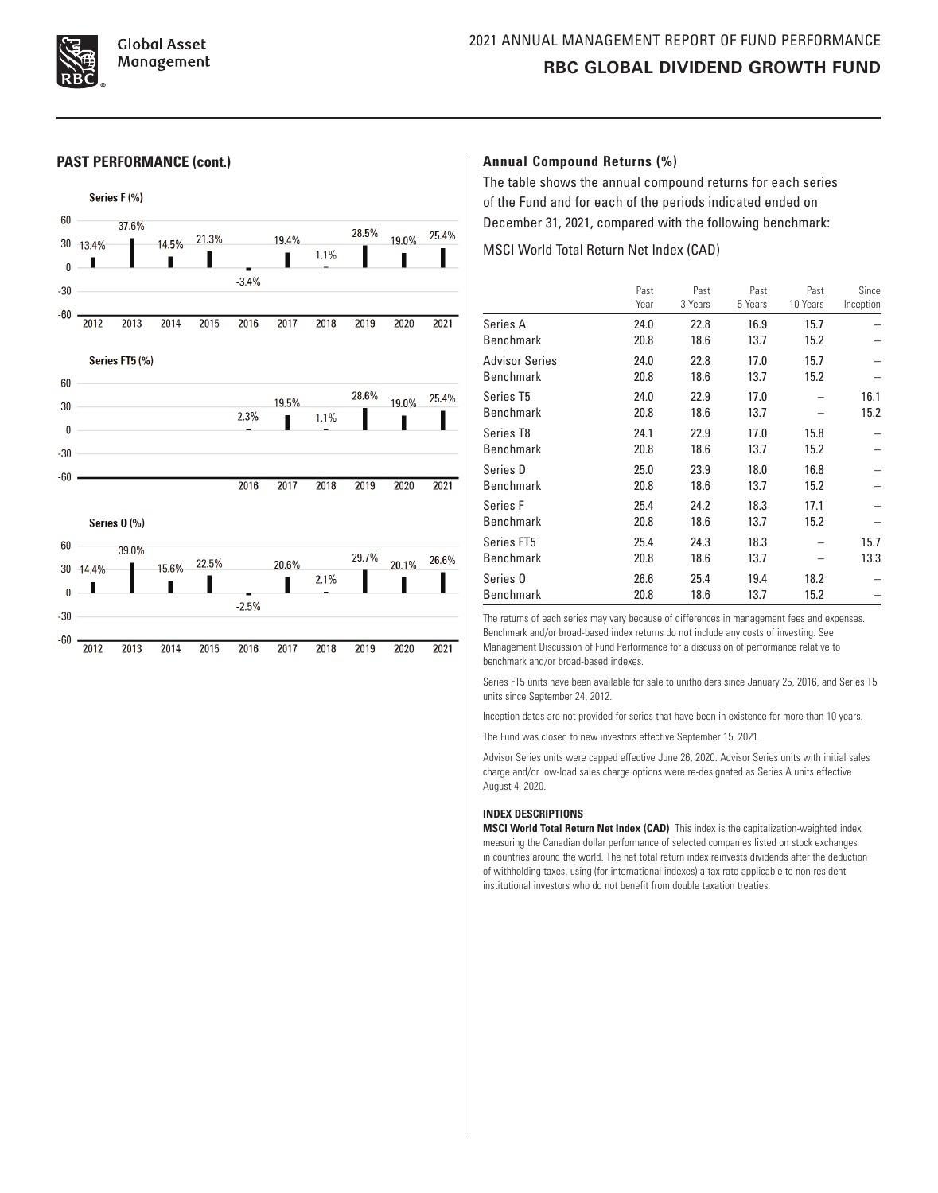



#### **PAST PERFORMANCE (cont.) Annual Compound Returns (%)**

The table shows the annual compound returns for each series of the Fund and for each of the periods indicated ended on December 31, 2021, compared with the following benchmark:

MSCI World Total Return Net Index (CAD)

|                       | Past<br>Year | Past<br>3 Years | Past<br>5 Years | Past<br>10 Years | Since<br>Inception |
|-----------------------|--------------|-----------------|-----------------|------------------|--------------------|
| Series A              | 24.0         | 22.8            | 16.9            | 15.7             |                    |
| <b>Benchmark</b>      | 20.8         | 18.6            | 13.7            | 15.2             |                    |
| <b>Advisor Series</b> | 24.0         | 22.8            | 17.0            | 15.7             |                    |
| <b>Benchmark</b>      | 20.8         | 18.6            | 13.7            | 15.2             |                    |
| Series T5             | 24.0         | 22.9            | 17.0            |                  | 16.1               |
| <b>Benchmark</b>      | 20.8         | 18.6            | 13.7            |                  | 15.2               |
| Series T8             | 24.1         | 22.9            | 17.0            | 15.8             |                    |
| Benchmark             | 20.8         | 18.6            | 13.7            | 15.2             |                    |
| Series D              | 25.0         | 23.9            | 18.0            | 16.8             |                    |
| Benchmark             | 20.8         | 18.6            | 13.7            | 15.2             |                    |
| Series F              | 25.4         | 24.2            | 18.3            | 17.1             |                    |
| <b>Benchmark</b>      | 20.8         | 18.6            | 13.7            | 15.2             |                    |
| Series FT5            | 25.4         | 24.3            | 18.3            |                  | 15.7               |
| <b>Benchmark</b>      | 20.8         | 18.6            | 13.7            |                  | 13.3               |
| Series 0              | 26.6         | 25.4            | 19.4            | 18.2             |                    |
| Benchmark             | 20.8         | 18.6            | 13.7            | 15.2             |                    |

The returns of each series may vary because of differences in management fees and expenses. Benchmark and/or broad-based index returns do not include any costs of investing. See Management Discussion of Fund Performance for a discussion of performance relative to benchmark and/or broad‑based indexes.

Series FT5 units have been available for sale to unitholders since January 25, 2016, and Series T5 units since September 24, 2012.

Inception dates are not provided for series that have been in existence for more than 10 years.

The Fund was closed to new investors effective September 15, 2021.

Advisor Series units were capped effective June 26, 2020. Advisor Series units with initial sales charge and/or low-load sales charge options were re-designated as Series A units effective August 4, 2020.

#### **INDEX DESCRIPTIONS**

**MSCI World Total Return Net Index (CAD)** This index is the capitalization-weighted index measuring the Canadian dollar performance of selected companies listed on stock exchanges in countries around the world. The net total return index reinvests dividends after the deduction of withholding taxes, using (for international indexes) a tax rate applicable to non‑resident institutional investors who do not benefit from double taxation treaties.